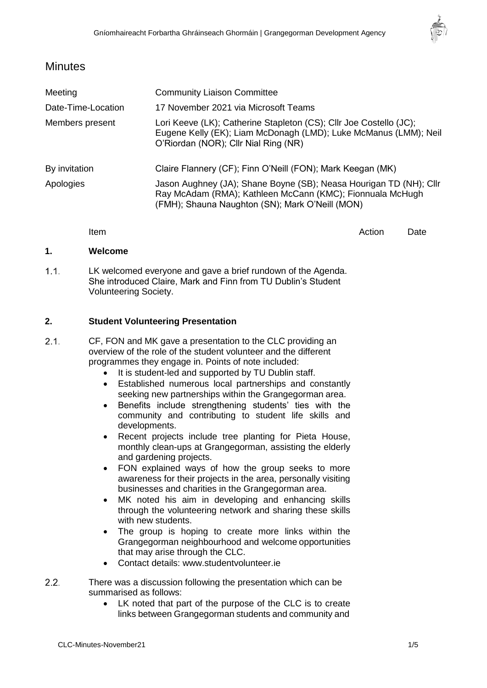

## **Minutes**

| Meeting            | <b>Community Liaison Committee</b>                                                                                                                                                 |
|--------------------|------------------------------------------------------------------------------------------------------------------------------------------------------------------------------------|
| Date-Time-Location | 17 November 2021 via Microsoft Teams                                                                                                                                               |
| Members present    | Lori Keeve (LK); Catherine Stapleton (CS); Cllr Joe Costello (JC);<br>Eugene Kelly (EK); Liam McDonagh (LMD); Luke McManus (LMM); Neil<br>O'Riordan (NOR); Cllr Nial Ring (NR)     |
| By invitation      | Claire Flannery (CF); Finn O'Neill (FON); Mark Keegan (MK)                                                                                                                         |
| Apologies          | Jason Aughney (JA); Shane Boyne (SB); Neasa Hourigan TD (NH); Cllr<br>Ray McAdam (RMA); Kathleen McCann (KMC); Fionnuala McHugh<br>(FMH); Shauna Naughton (SN); Mark O'Neill (MON) |

Item and the contract of the contract of the contract of the contract of the contract of the Date

## **1. Welcome**

 $1.1$ LK welcomed everyone and gave a brief rundown of the Agenda. She introduced Claire, Mark and Finn from TU Dublin's Student Volunteering Society.

## **2. Student Volunteering Presentation**

- $2.1.$ CF, FON and MK gave a presentation to the CLC providing an overview of the role of the student volunteer and the different programmes they engage in. Points of note included:
	- It is student-led and supported by TU Dublin staff.
	- Established numerous local partnerships and constantly seeking new partnerships within the Grangegorman area.
	- Benefits include strengthening students' ties with the community and contributing to student life skills and developments.
	- Recent projects include tree planting for Pieta House, monthly clean-ups at Grangegorman, assisting the elderly and gardening projects.
	- FON explained ways of how the group seeks to more awareness for their projects in the area, personally visiting businesses and charities in the Grangegorman area.
	- MK noted his aim in developing and enhancing skills through the volunteering network and sharing these skills with new students.
	- The group is hoping to create more links within the Grangegorman neighbourhood and welcome opportunities that may arise through the CLC.
	- Contact details: [www.studentvolunteer.ie](http://www.studentvolunteer.ie/)
- $2.2.$ There was a discussion following the presentation which can be summarised as follows:
	- LK noted that part of the purpose of the CLC is to create links between Grangegorman students and community and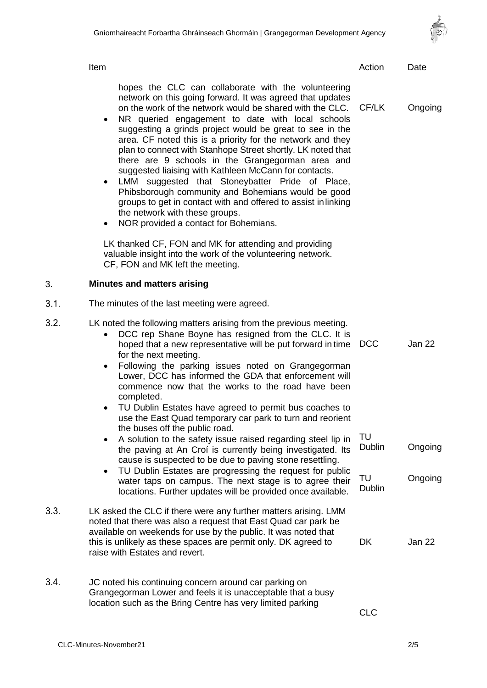

Item and the contract of the contract of the contract of the contract of the contract of the Date

hopes the CLC can collaborate with the volunteering network on this going forward. It was agreed that updates on the work of the network would be shared with the CLC. CF/LK Ongoing

- NR queried engagement to date with local schools suggesting a grinds project would be great to see in the area. CF noted this is a priority for the network and they plan to connect with Stanhope Street shortly. LK noted that there are 9 schools in the Grangegorman area and suggested liaising with Kathleen McCann for contacts.
- LMM suggested that Stoneybatter Pride of Place, Phibsborough community and Bohemians would be good groups to get in contact with and offered to assist inlinking the network with these groups.
- NOR provided a contact for Bohemians.

LK thanked CF, FON and MK for attending and providing valuable insight into the work of the volunteering network. CF, FON and MK left the meeting.

## 3. **Minutes and matters arising**

 $3.1.$ The minutes of the last meeting were agreed.

| 3.2. | LK noted the following matters arising from the previous meeting.<br>DCC rep Shane Boyne has resigned from the CLC. It is<br>hoped that a new representative will be put forward in time<br>for the next meeting.<br>Following the parking issues noted on Grangegorman<br>$\bullet$<br>Lower, DCC has informed the GDA that enforcement will | <b>DCC</b>          | Jan 22  |
|------|-----------------------------------------------------------------------------------------------------------------------------------------------------------------------------------------------------------------------------------------------------------------------------------------------------------------------------------------------|---------------------|---------|
|      | commence now that the works to the road have been<br>completed.<br>TU Dublin Estates have agreed to permit bus coaches to<br>$\bullet$<br>use the East Quad temporary car park to turn and reorient<br>the buses off the public road.                                                                                                         |                     |         |
|      | A solution to the safety issue raised regarding steel lip in<br>$\bullet$<br>the paving at An Croi is currently being investigated. Its<br>cause is suspected to be due to paving stone resettling.<br>TU Dublin Estates are progressing the request for public<br>$\bullet$                                                                  | TU<br><b>Dublin</b> | Ongoing |
|      | water taps on campus. The next stage is to agree their<br>locations. Further updates will be provided once available.                                                                                                                                                                                                                         | TU<br><b>Dublin</b> | Ongoing |
| 3.3. | LK asked the CLC if there were any further matters arising. LMM<br>noted that there was also a request that East Quad car park be<br>available on weekends for use by the public. It was noted that<br>this is unlikely as these spaces are permit only. DK agreed to<br>raise with Estates and revert.                                       | <b>DK</b>           | Jan 22  |
| 3.4. | JC noted his continuing concern around car parking on<br>Grangegorman Lower and feels it is unacceptable that a busy<br>location such as the Bring Centre has very limited parking                                                                                                                                                            | <b>CLC</b>          |         |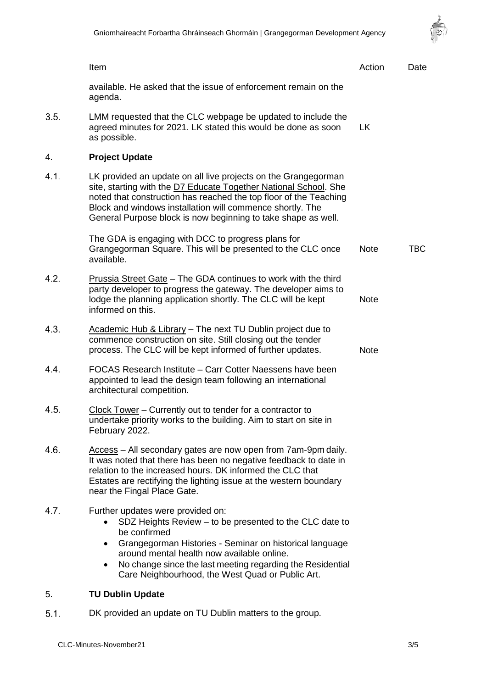

|      | Item                                                                                                                                                                                                                                                                                                                                                 | Action      | Date       |
|------|------------------------------------------------------------------------------------------------------------------------------------------------------------------------------------------------------------------------------------------------------------------------------------------------------------------------------------------------------|-------------|------------|
|      | available. He asked that the issue of enforcement remain on the<br>agenda.                                                                                                                                                                                                                                                                           |             |            |
| 3.5. | LMM requested that the CLC webpage be updated to include the<br>agreed minutes for 2021. LK stated this would be done as soon<br>as possible.                                                                                                                                                                                                        | <b>LK</b>   |            |
| 4.   | <b>Project Update</b>                                                                                                                                                                                                                                                                                                                                |             |            |
| 4.1. | LK provided an update on all live projects on the Grangegorman<br>site, starting with the D7 Educate Together National School. She<br>noted that construction has reached the top floor of the Teaching<br>Block and windows installation will commence shortly. The<br>General Purpose block is now beginning to take shape as well.                |             |            |
|      | The GDA is engaging with DCC to progress plans for<br>Grangegorman Square. This will be presented to the CLC once<br>available.                                                                                                                                                                                                                      | <b>Note</b> | <b>TBC</b> |
| 4.2. | Prussia Street Gate - The GDA continues to work with the third<br>party developer to progress the gateway. The developer aims to<br>lodge the planning application shortly. The CLC will be kept<br>informed on this.                                                                                                                                | <b>Note</b> |            |
| 4.3. | Academic Hub & Library - The next TU Dublin project due to<br>commence construction on site. Still closing out the tender<br>process. The CLC will be kept informed of further updates.                                                                                                                                                              | <b>Note</b> |            |
| 4.4. | <b>FOCAS Research Institute - Carr Cotter Naessens have been</b><br>appointed to lead the design team following an international<br>architectural competition.                                                                                                                                                                                       |             |            |
| 4.5. | Clock Tower - Currently out to tender for a contractor to<br>undertake priority works to the building. Aim to start on site in<br>February 2022.                                                                                                                                                                                                     |             |            |
| 4.6. | Access - All secondary gates are now open from 7am-9pm daily.<br>It was noted that there has been no negative feedback to date in<br>relation to the increased hours. DK informed the CLC that<br>Estates are rectifying the lighting issue at the western boundary<br>near the Fingal Place Gate.                                                   |             |            |
| 4.7. | Further updates were provided on:<br>SDZ Heights Review - to be presented to the CLC date to<br>be confirmed<br>Grangegorman Histories - Seminar on historical language<br>$\bullet$<br>around mental health now available online.<br>No change since the last meeting regarding the Residential<br>Care Neighbourhood, the West Quad or Public Art. |             |            |
| 5.   | <b>TU Dublin Update</b>                                                                                                                                                                                                                                                                                                                              |             |            |

DK provided an update on TU Dublin matters to the group. $5.1.$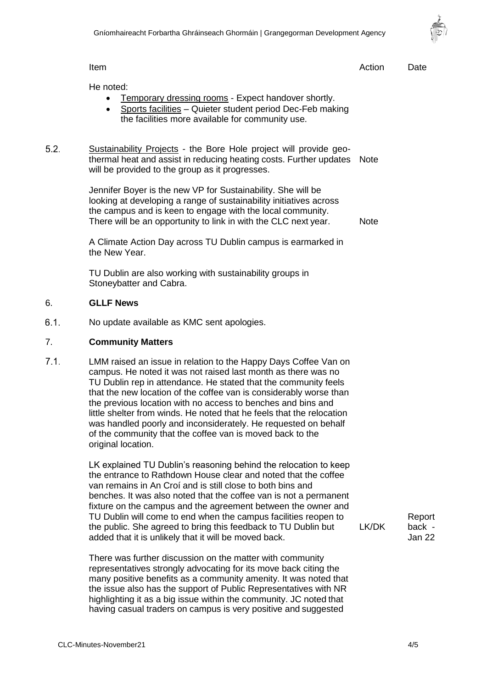Item and the contract of the contract of the contract of the contract of the contract of the Date



He noted: • Temporary dressing rooms - Expect handover shortly. • Sports facilities - Quieter student period Dec-Feb making the facilities more available for community use. Sustainability Projects - the Bore Hole project will provide geothermal heat and assist in reducing heating costs. Further updates Note will be provided to the group as it progresses. Jennifer Boyer is the new VP for Sustainability. She will be looking at developing a range of sustainability initiatives across the campus and is keen to engage with the local community. There will be an opportunity to link in with the CLC next year. A Climate Action Day across TU Dublin campus is earmarked in the New Year. TU Dublin are also working with sustainability groups in Stoneybatter and Cabra. Note 6. **GLLF News** No update available as KMC sent apologies. 7. **Community Matters** LMM raised an issue in relation to the Happy Days Coffee Van on campus. He noted it was not raised last month as there was no TU Dublin rep in attendance. He stated that the community feels that the new location of the coffee van is considerably worse than the previous location with no access to benches and bins and little shelter from winds. He noted that he feels that the relocation was handled poorly and inconsiderately. He requested on behalf of the community that the coffee van is moved back to the original location. LK explained TU Dublin's reasoning behind the relocation to keep the entrance to Rathdown House clear and noted that the coffee van remains in An Croí and is still close to both bins and benches. It was also noted that the coffee van is not a permanent fixture on the campus and the agreement between the owner and TU Dublin will come to end when the campus facilities reopen to the public. She agreed to bring this feedback to TU Dublin but added that it is unlikely that it will be moved back. There was further discussion on the matter with community representatives strongly advocating for its move back citing the many positive benefits as a community amenity. It was noted that the issue also has the support of Public Representatives with NR highlighting it as a big issue within the community. JC noted that having casual traders on campus is very positive and suggested LK/DK Report back - Jan 22

 $5.2.$ 

 $6.1.$ 

 $7.1.$